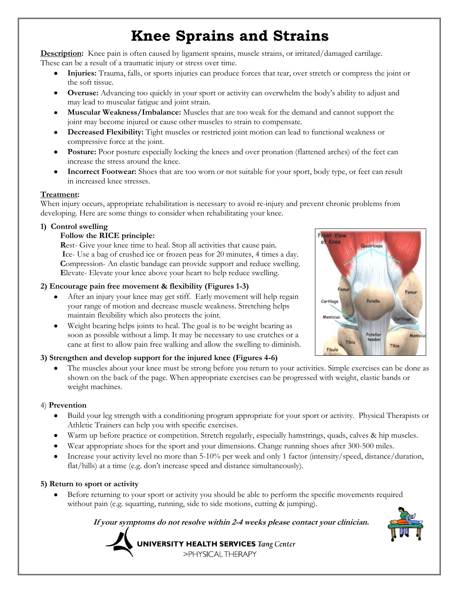# **Knee Sprains and Strains**

**Description:** Knee pain is often caused by ligament sprains, muscle strains, or irritated/damaged cartilage. These can be a result of a traumatic injury or stress over time.

- **Injuries:** Trauma, falls, or sports injuries can produce forces that tear, over stretch or compress the joint or the soft tissue.
- **Overuse:** Advancing too quickly in your sport or activity can overwhelm the body's ability to adjust and may lead to muscular fatigue and joint strain.
- **Muscular Weakness/Imbalance:** Muscles that are too weak for the demand and cannot support the joint may become injured or cause other muscles to strain to compensate.
- **Decreased Flexibility:** Tight muscles or restricted joint motion can lead to functional weakness or compressive force at the joint.
- **Posture:** Poor posture especially locking the knees and over pronation (flattened arches) of the feet can increase the stress around the knee.
- **Incorrect Footwear:** Shoes that are too worn or not suitable for your sport, body type, or feet can result in increased knee stresses.

#### **Treatment:**

When injury occurs, appropriate rehabilitation is necessary to avoid re-injury and prevent chronic problems from developing. Here are some things to consider when rehabilitating your knee.

#### **1) Control swelling**

#### **Follow the RICE principle:**

**Rest-** Give your knee time to heal. Stop all activities that cause pain.  **I**ce- Use a bag of crushed ice or frozen peas for 20 minutes, 4 times a day. **C**ompression- An elastic bandage can provide support and reduce swelling.  **E**levate- Elevate your knee above your heart to help reduce swelling.

#### **2) Encourage pain free movement & flexibility (Figures 1-3)**

- After an injury your knee may get stiff. Early movement will help regain your range of motion and decrease muscle weakness. Stretching helps maintain flexibility which also protects the joint.
- Weight bearing helps joints to heal. The goal is to be weight bearing as soon as possible without a limp. It may be necessary to use crutches or a cane at first to allow pain free walking and allow the swelling to diminish.

## **3) Strengthen and develop support for the injured knee (Figures 4-6)**

The muscles about your knee must be strong before you return to your activities. Simple exercises can be done as shown on the back of the page. When appropriate exercises can be progressed with weight, elastic bands or weight machines.

#### 4) **Prevention**

- Build your leg strength with a conditioning program appropriate for your sport or activity. Physical Therapists or Athletic Trainers can help you with specific exercises.
- Warm up before practice or competition. Stretch regularly, especially hamstrings, quads, calves & hip muscles.
- Wear appropriate shoes for the sport and your dimensions. Change running shoes after 300-500 miles.
- Increase your activity level no more than 5-10% per week and only 1 factor (intensity/speed, distance/duration, flat/hills) at a time (e.g. don't increase speed and distance simultaneously).

## **5) Return to sport or activity**

Before returning to your sport or activity you should be able to perform the specific movements required without pain (e.g. squatting, running, side to side motions, cutting & jumping).

 **If your symptoms do not resolve within 2-4 weeks please contact your clinician.**



**UNIVERSITY HEALTH SERVICES** Tang Center >PHYSICALTHERAPY